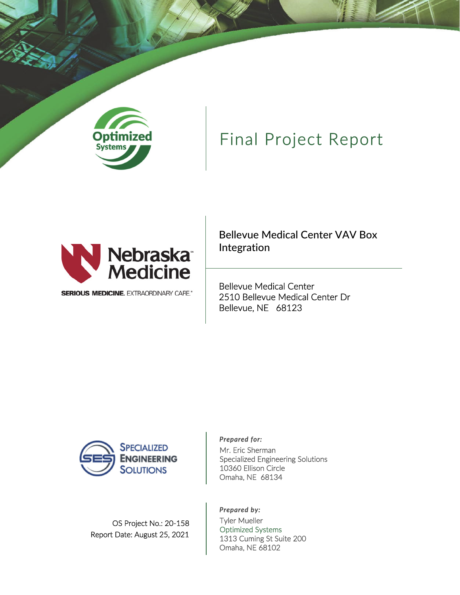

# Final Project Report



**SERIOUS MEDICINE. EXTRAORDINARY CARE.\*** 

Bellevue Medical Center VAV Box Integration

Bellevue Medical Center 2510 Bellevue Medical Center Dr Bellevue, NE 68123



#### OS Project No.: 20‐158 Report Date: August 25, 2021

#### *Prepared for:*

Mr. Eric Sherman Specialized Engineering Solutions 10360 Ellison Circle Omaha, NE 68134

#### *Prepared by:*

Tyler Mueller Optimized Systems 1313 Cuming St Suite 200 Omaha, NE 68102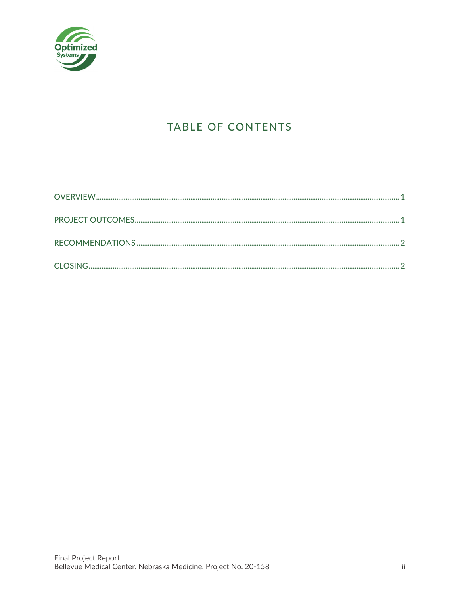

## TABLE OF CONTENTS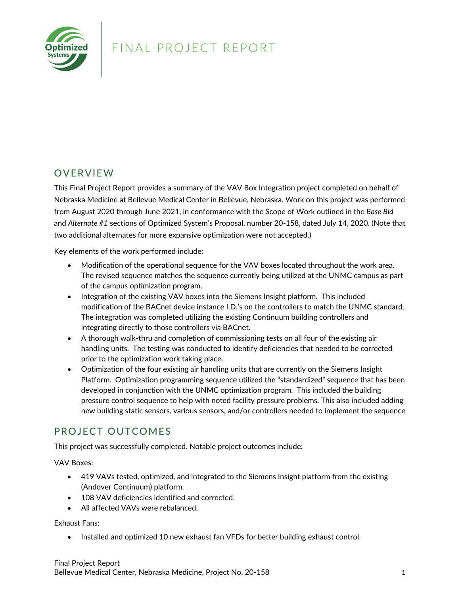

### FINAL PROJECT REPORT

#### **OVERVIEW**

This Final Project Report provides a summary of the VAV Box Integration project completed on behalf of Nebraska Medicine at Bellevue Medical Center in Bellevue, Nebraska. Work on this project was performed from August 2020 through June 2021, in conformance with the Scope of Work outlined in the *Base Bid* and *Alternate #1* sections of Optimized System's Proposal, number 20‐158, dated July 14, 2020. (Note that two additional alternates for more expansive optimization were not accepted.)

Key elements of the work performed include:

- Modification of the operational sequence for the VAV boxes located throughout the work area. The revised sequence matches the sequence currently being utilized at the UNMC campus as part of the campus optimization program.
- Integration of the existing VAV boxes into the Siemens Insight platform. This included modification of the BACnet device instance I.D.'s on the controllers to match the UNMC standard. The integration was completed utilizing the existing Continuum building controllers and integrating directly to those controllers via BACnet.
- A thorough walk‐thru and completion of commissioning tests on all four of the existing air handling units. The testing was conducted to identify deficiencies that needed to be corrected prior to the optimization work taking place.
- Optimization of the four existing air handling units that are currently on the Siemens Insight Platform. Optimization programming sequence utilized the "standardized" sequence that has been developed in conjunction with the UNMC optimization program. This included the building pressure control sequence to help with noted facility pressure problems. This also included adding new building static sensors, various sensors, and/or controllers needed to implement the sequence

### PROJECT OUTCOMES

This project was successfully completed. Notable project outcomes include:

VAV Boxes:

- 419 VAVs tested, optimized, and integrated to the Siemens Insight platform from the existing (Andover Continuum) platform.
- 108 VAV deficiencies identified and corrected.
- All affected VAVs were rebalanced.

Exhaust Fans:

• Installed and optimized 10 new exhaust fan VFDs for better building exhaust control.